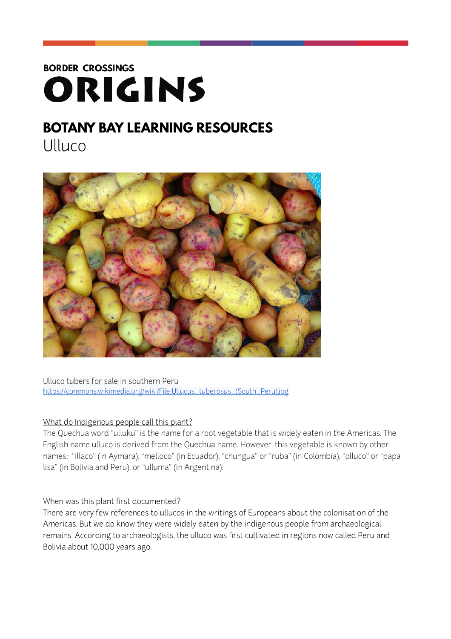# **BORDER CROSSINGS** ORIGINS

# **BOTANY BAY LEARNING RESOURCES** Ulluco



Ulluco tubers for sale in southern Peru [https://commons.wikimedia.org/wiki/File:Ullucus\\_tuberosus\\_\(South\\_Peru\).jpg](https://commons.wikimedia.org/wiki/File:Ullucus_tuberosus_(South_Peru).jpg)

### What do Indigenous people call this plant?

The Quechua word "ulluku" is the name for a root vegetable that is widely eaten in the Americas. The English name ulluco is derived from the Quechua name. However, this vegetable is known by other names: "illaco" (in Aymara), "melloco" (in Ecuador), "chungua" or "ruba" (in Colombia), "olluco" or "papa lisa" (in Bolivia and Peru), or "ulluma" (in Argentina).

### When was this plant first documented?

There are very few references to ullucos in the writings of Europeans about the colonisation of the Americas. But we do know they were widely eaten by the indigenous people from archaeological remains. According to archaeologists, the ulluco was first cultivated in regions now called Peru and Bolivia about 10,000 years ago.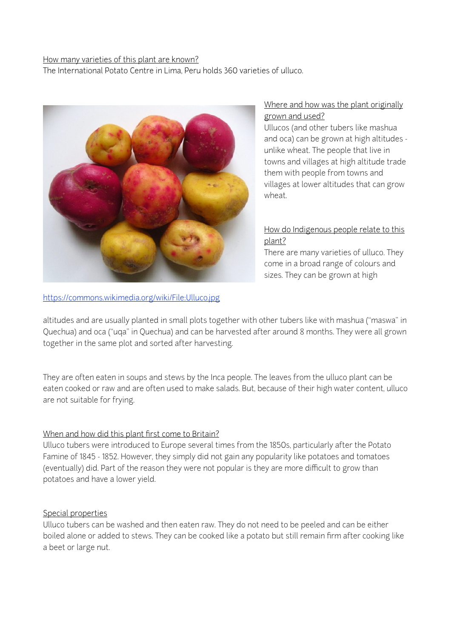#### How many varieties of this plant are known?

The International Potato Centre in Lima, Peru holds 360 varieties of ulluco.



#### https://commons.wikimedia.org/wiki/File:Ulluco.jpg

## Where and how was the plant originally grown and used?

Ullucos (and other tubers like mashua and oca) can be grown at high altitudes unlike wheat. The people that live in towns and villages at high altitude trade them with people from towns and villages at lower altitudes that can grow wheat.

# How do Indigenous people relate to this plant?

There are many varieties of ulluco. They come in a broad range of colours and sizes. They can be grown at high

altitudes and are usually planted in small plots together with other tubers like with mashua ("maswa" in Quechua) and oca ("uqa" in Quechua) and can be harvested after around 8 months. They were all grown together in the same plot and sorted after harvesting.

They are often eaten in soups and stews by the Inca people. The leaves from the ulluco plant can be eaten cooked or raw and are often used to make salads. But, because of their high water content, ulluco are not suitable for frying.

### When and how did this plant first come to Britain?

Ulluco tubers were introduced to Europe several times from the 1850s, particularly after the Potato Famine of 1845 - 1852. However, they simply did not gain any popularity like potatoes and tomatoes (eventually) did. Part of the reason they were not popular is they are more difficult to grow than potatoes and have a lower yield.

### Special properties

Ulluco tubers can be washed and then eaten raw. They do not need to be peeled and can be either boiled alone or added to stews. They can be cooked like a potato but still remain firm after cooking like a beet or large nut.